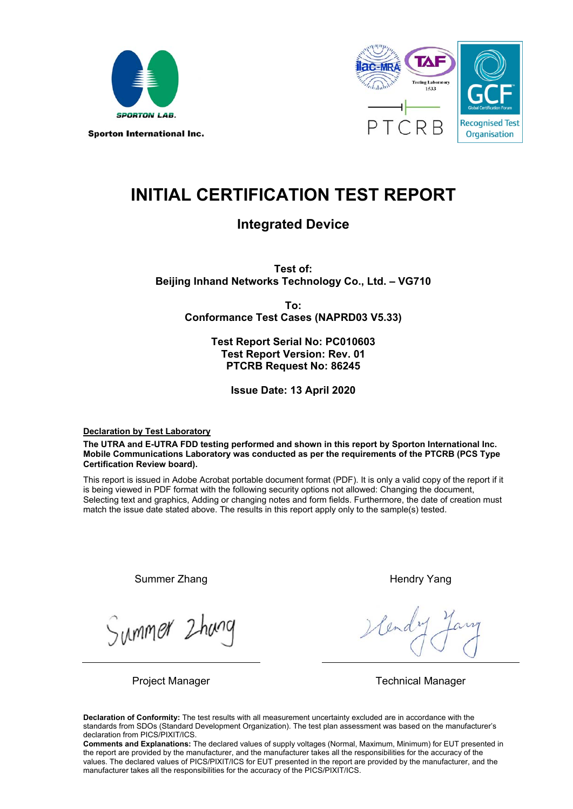

**Sporton International Inc.** 



# **INITIAL CERTIFICATION TEST REPORT**

## **Integrated Device**

**Test of: Beijing Inhand Networks Technology Co., Ltd. – VG710** 

> **To: Conformance Test Cases (NAPRD03 V5.33)**

> > **Test Report Serial No: PC010603 Test Report Version: Rev. 01 PTCRB Request No: 86245**

> > > **Issue Date: 13 April 2020**

**Declaration by Test Laboratory** 

**The UTRA and E-UTRA FDD testing performed and shown in this report by Sporton International Inc. Mobile Communications Laboratory was conducted as per the requirements of the PTCRB (PCS Type Certification Review board).** 

This report is issued in Adobe Acrobat portable document format (PDF). It is only a valid copy of the report if it is being viewed in PDF format with the following security options not allowed: Changing the document, Selecting text and graphics, Adding or changing notes and form fields. Furthermore, the date of creation must match the issue date stated above. The results in this report apply only to the sample(s) tested.

Summer Zhang Hendry Yang

Summer Zhang

Project Manager **Technical Manager Technical Manager** 

**Declaration of Conformity:** The test results with all measurement uncertainty excluded are in accordance with the standards from SDOs (Standard Development Organization). The test plan assessment was based on the manufacturer's declaration from PICS/PIXIT/ICS.

**Comments and Explanations:** The declared values of supply voltages (Normal, Maximum, Minimum) for EUT presented in the report are provided by the manufacturer, and the manufacturer takes all the responsibilities for the accuracy of the values. The declared values of PICS/PIXIT/ICS for EUT presented in the report are provided by the manufacturer, and the manufacturer takes all the responsibilities for the accuracy of the PICS/PIXIT/ICS.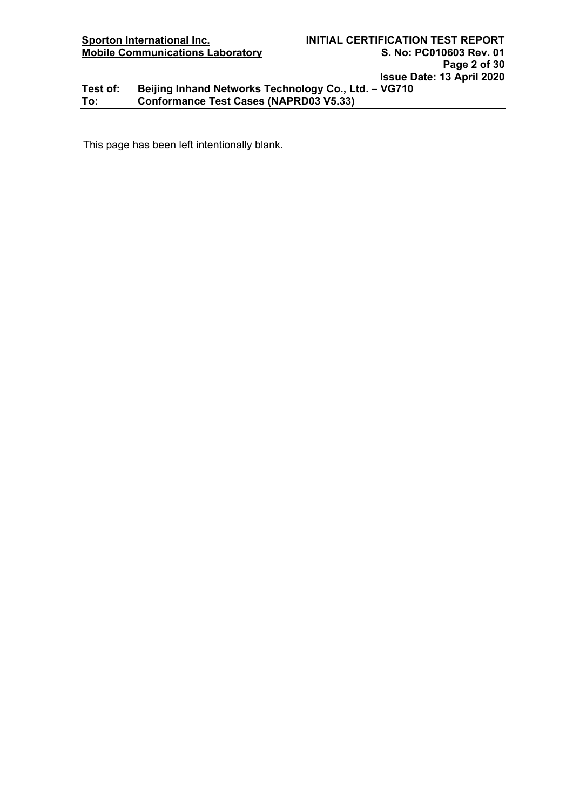This page has been left intentionally blank.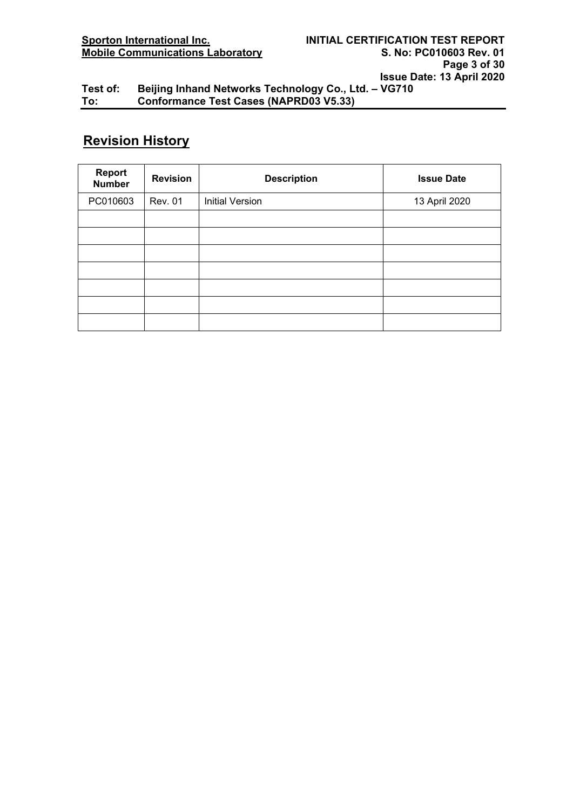# **Revision History**

| Report<br><b>Number</b> | <b>Revision</b> | <b>Description</b>     | <b>Issue Date</b> |
|-------------------------|-----------------|------------------------|-------------------|
| PC010603                | <b>Rev. 01</b>  | <b>Initial Version</b> | 13 April 2020     |
|                         |                 |                        |                   |
|                         |                 |                        |                   |
|                         |                 |                        |                   |
|                         |                 |                        |                   |
|                         |                 |                        |                   |
|                         |                 |                        |                   |
|                         |                 |                        |                   |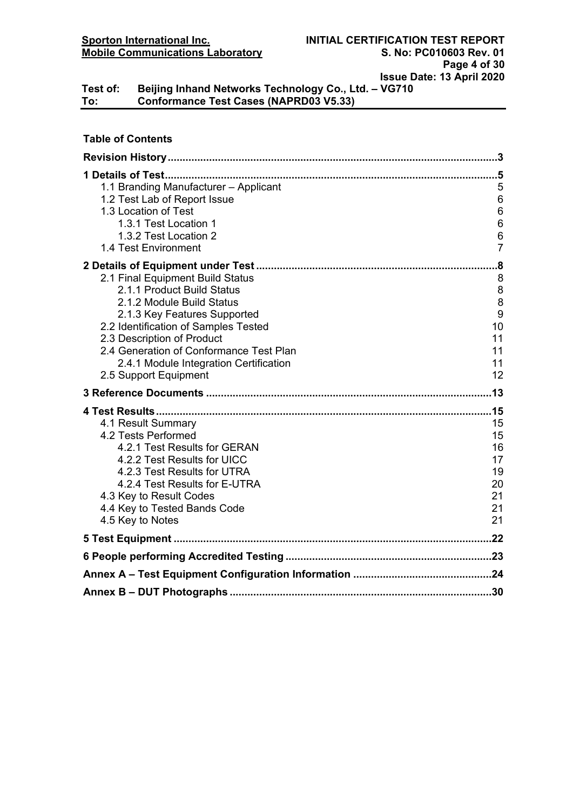| <b>Table of Contents</b>                                              |                         |
|-----------------------------------------------------------------------|-------------------------|
|                                                                       |                         |
|                                                                       |                         |
| 1.1 Branding Manufacturer - Applicant                                 | 5                       |
| 1.2 Test Lab of Report Issue                                          | $\,6$                   |
| 1.3 Location of Test                                                  | $\,6$                   |
| 1.3.1 Test Location 1                                                 | $6\phantom{1}6$         |
| 1.3.2 Test Location 2                                                 | $6\phantom{a}$          |
| 1.4 Test Environment                                                  | $\overline{7}$          |
|                                                                       | $\overline{\mathbf{8}}$ |
| 2.1 Final Equipment Build Status                                      | 8                       |
| 2.1.1 Product Build Status                                            | 8                       |
| 2.1.2 Module Build Status                                             | 8                       |
| 2.1.3 Key Features Supported                                          | 9                       |
| 2.2 Identification of Samples Tested                                  | 10<br>11                |
| 2.3 Description of Product<br>2.4 Generation of Conformance Test Plan | 11                      |
| 2.4.1 Module Integration Certification                                | 11                      |
| 2.5 Support Equipment                                                 | 12                      |
|                                                                       |                         |
|                                                                       |                         |
| 4.1 Result Summary                                                    | 15                      |
| 4.2 Tests Performed                                                   | 15                      |
| 4.2.1 Test Results for GERAN                                          | 16                      |
| 4.2.2 Test Results for UICC                                           | 17                      |
| 4.2.3 Test Results for UTRA                                           | 19                      |
| 4.2.4 Test Results for E-UTRA                                         | 20                      |
| 4.3 Key to Result Codes                                               | 21                      |
| 4.4 Key to Tested Bands Code                                          | 21                      |
| 4.5 Key to Notes                                                      | 21                      |
|                                                                       |                         |
|                                                                       |                         |
|                                                                       |                         |
|                                                                       |                         |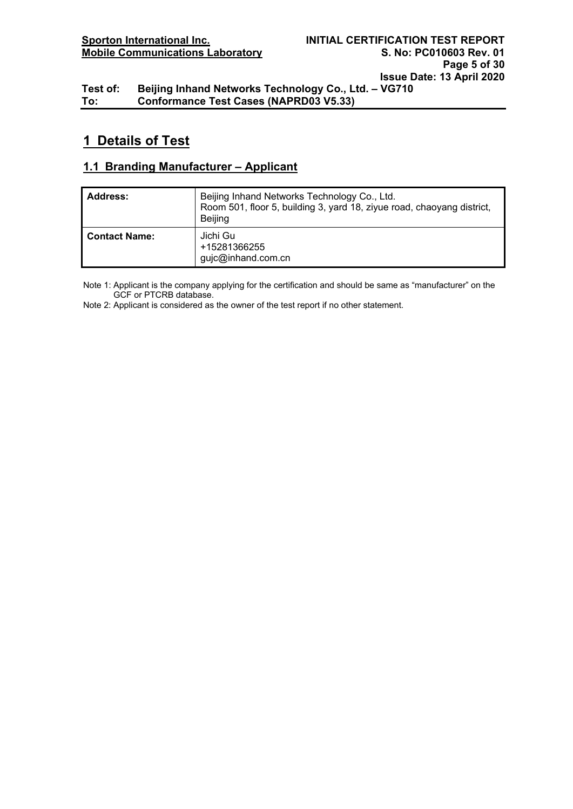## **1 Details of Test**

### **1.1 Branding Manufacturer – Applicant**

| . Address:      | Beijing Inhand Networks Technology Co., Ltd.<br>Room 501, floor 5, building 3, yard 18, ziyue road, chaoyang district,<br>Beijing |
|-----------------|-----------------------------------------------------------------------------------------------------------------------------------|
| l Contact Name: | Jichi Gu<br>+15281366255<br>gujc@inhand.com.cn                                                                                    |

Note 1: Applicant is the company applying for the certification and should be same as "manufacturer" on the GCF or PTCRB database.

Note 2: Applicant is considered as the owner of the test report if no other statement.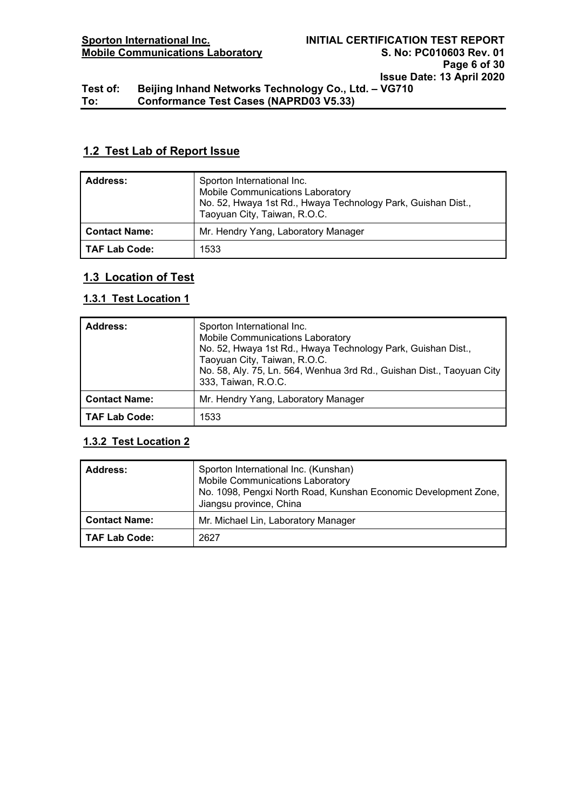### **1.2 Test Lab of Report Issue**

| Address:        | Sporton International Inc.<br>Mobile Communications Laboratory<br>No. 52, Hwaya 1st Rd., Hwaya Technology Park, Guishan Dist.,<br>Taoyuan City, Taiwan, R.O.C. |
|-----------------|----------------------------------------------------------------------------------------------------------------------------------------------------------------|
| l Contact Name: | Mr. Hendry Yang, Laboratory Manager                                                                                                                            |
| TAF Lab Code:   | 1533                                                                                                                                                           |

## **1.3 Location of Test**

#### **1.3.1 Test Location 1**

| <b>Address:</b>      | Sporton International Inc.<br>Mobile Communications Laboratory<br>No. 52, Hwaya 1st Rd., Hwaya Technology Park, Guishan Dist.,<br>Taoyuan City, Taiwan, R.O.C.<br>No. 58, Aly. 75, Ln. 564, Wenhua 3rd Rd., Guishan Dist., Taoyuan City<br>333, Taiwan, R.O.C. |
|----------------------|----------------------------------------------------------------------------------------------------------------------------------------------------------------------------------------------------------------------------------------------------------------|
| <b>Contact Name:</b> | Mr. Hendry Yang, Laboratory Manager                                                                                                                                                                                                                            |
| <b>TAF Lab Code:</b> | 1533                                                                                                                                                                                                                                                           |

## **1.3.2 Test Location 2**

| Address:             | Sporton International Inc. (Kunshan)<br><b>Mobile Communications Laboratory</b><br>No. 1098, Pengxi North Road, Kunshan Economic Development Zone,<br>Jiangsu province, China |
|----------------------|-------------------------------------------------------------------------------------------------------------------------------------------------------------------------------|
| <b>Contact Name:</b> | Mr. Michael Lin, Laboratory Manager                                                                                                                                           |
| <b>TAF Lab Code:</b> | 2627                                                                                                                                                                          |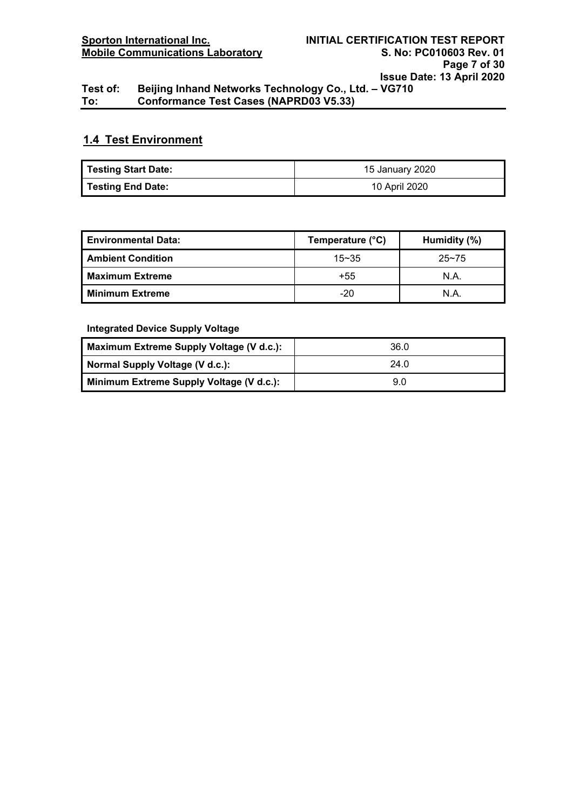## **1.4 Test Environment**

| Testing Start Date: | 15 January 2020 |
|---------------------|-----------------|
| Testing End Date:   | 10 April 2020   |

| <b>Environmental Data:</b> | Temperature (°C) | Humidity (%) |
|----------------------------|------------------|--------------|
| <b>Ambient Condition</b>   | $15 - 35$        | $25 - 75$    |
| <b>Maximum Extreme</b>     | +55              | N.A.         |
| <b>Minimum Extreme</b>     | $-20$            | N.A.         |

#### **Integrated Device Supply Voltage**

| Maximum Extreme Supply Voltage (V d.c.): | 36.0 |
|------------------------------------------|------|
| Normal Supply Voltage (V d.c.):          | 24.0 |
| Minimum Extreme Supply Voltage (V d.c.): | 9.0  |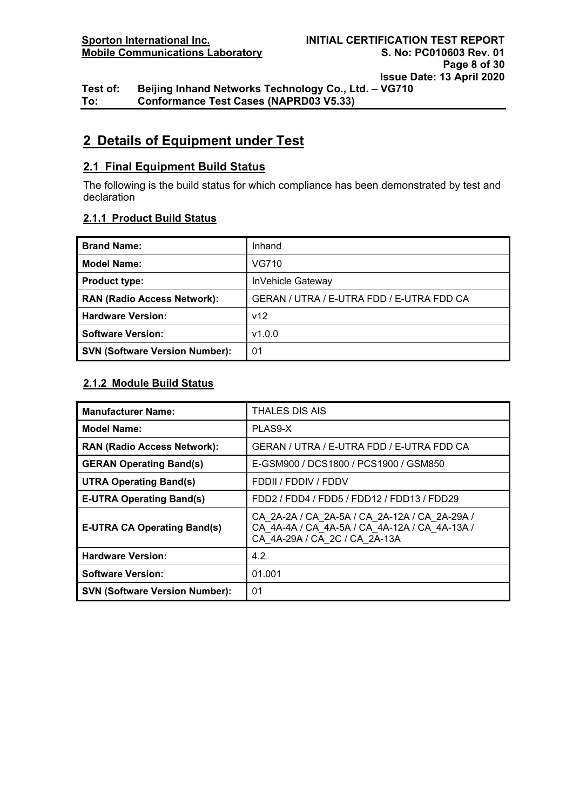## **2 Details of Equipment under Test**

### **2.1 Final Equipment Build Status**

The following is the build status for which compliance has been demonstrated by test and declaration

#### **2.1.1 Product Build Status**

| <b>Brand Name:</b>                    | Inhand                                    |
|---------------------------------------|-------------------------------------------|
| <b>Model Name:</b>                    | VG710                                     |
| <b>Product type:</b>                  | InVehicle Gateway                         |
| <b>RAN (Radio Access Network):</b>    | GERAN / UTRA / E-UTRA FDD / E-UTRA FDD CA |
| <b>Hardware Version:</b>              | v12                                       |
| <b>Software Version:</b>              | v1.0.0                                    |
| <b>SVN (Software Version Number):</b> | 01                                        |

#### **2.1.2 Module Build Status**

| <b>Manufacturer Name:</b>             | THALES DIS AIS                                                                                                                  |  |
|---------------------------------------|---------------------------------------------------------------------------------------------------------------------------------|--|
| <b>Model Name:</b>                    | PLAS9-X                                                                                                                         |  |
| <b>RAN (Radio Access Network):</b>    | GERAN / UTRA / E-UTRA FDD / E-UTRA FDD CA                                                                                       |  |
| <b>GERAN Operating Band(s)</b>        | E-GSM900 / DCS1800 / PCS1900 / GSM850                                                                                           |  |
| <b>UTRA Operating Band(s)</b>         | FDDII / FDDIV / FDDV                                                                                                            |  |
| <b>E-UTRA Operating Band(s)</b>       | FDD2 / FDD4 / FDD5 / FDD12 / FDD13 / FDD29                                                                                      |  |
| <b>E-UTRA CA Operating Band(s)</b>    | CA 2A-2A / CA 2A-5A / CA 2A-12A / CA 2A-29A /<br>CA 4A-4A / CA 4A-5A / CA 4A-12A / CA 4A-13A /<br>CA 4A-29A / CA 2C / CA 2A-13A |  |
| <b>Hardware Version:</b>              | 4.2                                                                                                                             |  |
| <b>Software Version:</b>              | 01.001                                                                                                                          |  |
| <b>SVN (Software Version Number):</b> | 01                                                                                                                              |  |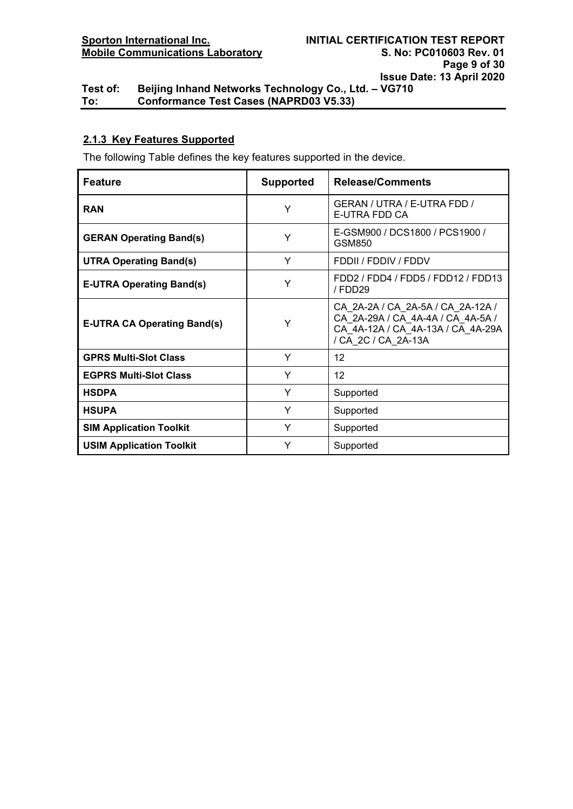## **2.1.3 Key Features Supported**

The following Table defines the key features supported in the device.

| <b>Feature</b>                     | <b>Supported</b> | <b>Release/Comments</b>                                                                                                            |
|------------------------------------|------------------|------------------------------------------------------------------------------------------------------------------------------------|
| <b>RAN</b>                         | Y                | GERAN / UTRA / E-UTRA FDD /<br>E-UTRA FDD CA                                                                                       |
| <b>GERAN Operating Band(s)</b>     | Y                | E-GSM900 / DCS1800 / PCS1900 /<br>GSM850                                                                                           |
| <b>UTRA Operating Band(s)</b>      | Y                | FDDII / FDDIV / FDDV                                                                                                               |
| <b>E-UTRA Operating Band(s)</b>    | Y                | FDD2 / FDD4 / FDD5 / FDD12 / FDD13<br>/FDD29                                                                                       |
| <b>E-UTRA CA Operating Band(s)</b> | Y                | CA 2A-2A / CA 2A-5A / CA 2A-12A /<br>CA 2A-29A / CA 4A-4A / CA 4A-5A /<br>CA 4A-12A / CA 4A-13A / CA 4A-29A<br>/ CA 2C / CA 2A-13A |
| <b>GPRS Multi-Slot Class</b>       | Y                | 12                                                                                                                                 |
| <b>EGPRS Multi-Slot Class</b>      | Y                | 12                                                                                                                                 |
| <b>HSDPA</b>                       | Υ                | Supported                                                                                                                          |
| <b>HSUPA</b>                       | Υ                | Supported                                                                                                                          |
| <b>SIM Application Toolkit</b>     | Y                | Supported                                                                                                                          |
| <b>USIM Application Toolkit</b>    | Y                | Supported                                                                                                                          |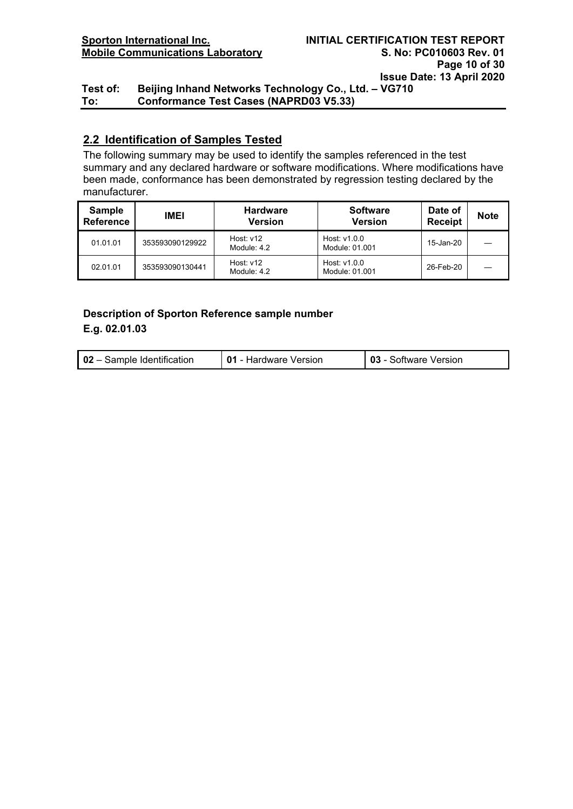## **2.2 Identification of Samples Tested**

The following summary may be used to identify the samples referenced in the test summary and any declared hardware or software modifications. Where modifications have been made, conformance has been demonstrated by regression testing declared by the manufacturer.

| <b>Sample</b><br><b>Reference</b> | <b>IMEI</b>                                   | <b>Hardware</b><br>Version | <b>Software</b><br><b>Version</b> | Date of<br><b>Receipt</b> | <b>Note</b> |
|-----------------------------------|-----------------------------------------------|----------------------------|-----------------------------------|---------------------------|-------------|
| 01.01.01                          | Host: $v12$<br>353593090129922<br>Module: 4.2 |                            | Host: v1.0.0<br>Module: 01.001    | 15-Jan-20                 |             |
| 02.01.01                          | 353593090130441                               | Host: $v12$<br>Module: 4.2 | Host: v1.0.0<br>Module: 01.001    | 26-Feb-20                 |             |

#### **Description of Sporton Reference sample number**

**E.g. 02.01.03** 

| 02 - Sample Identification | <b>01 - Hardware Version</b> | <b>03 - Software Version</b> |
|----------------------------|------------------------------|------------------------------|
|----------------------------|------------------------------|------------------------------|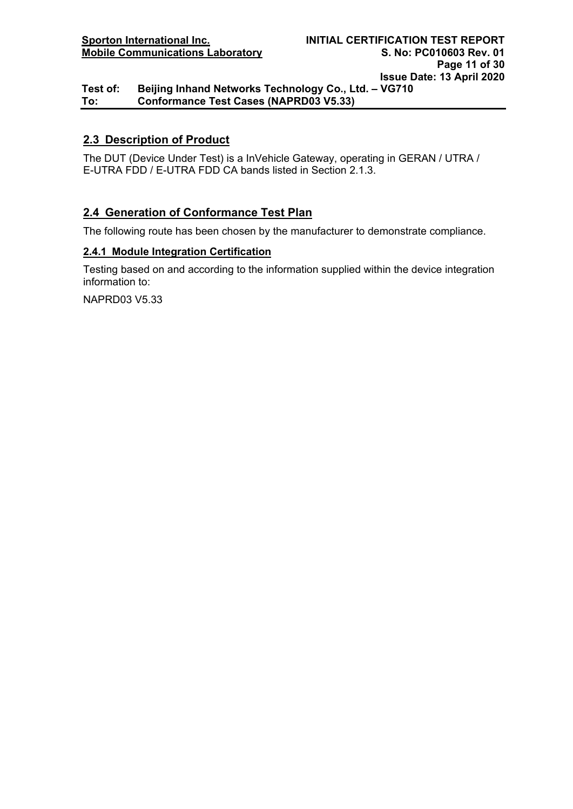### **2.3 Description of Product**

The DUT (Device Under Test) is a InVehicle Gateway, operating in GERAN / UTRA / E-UTRA FDD / E-UTRA FDD CA bands listed in Section 2.1.3.

### **2.4 Generation of Conformance Test Plan**

The following route has been chosen by the manufacturer to demonstrate compliance.

### **2.4.1 Module Integration Certification**

Testing based on and according to the information supplied within the device integration information to:

NAPRD03 V5.33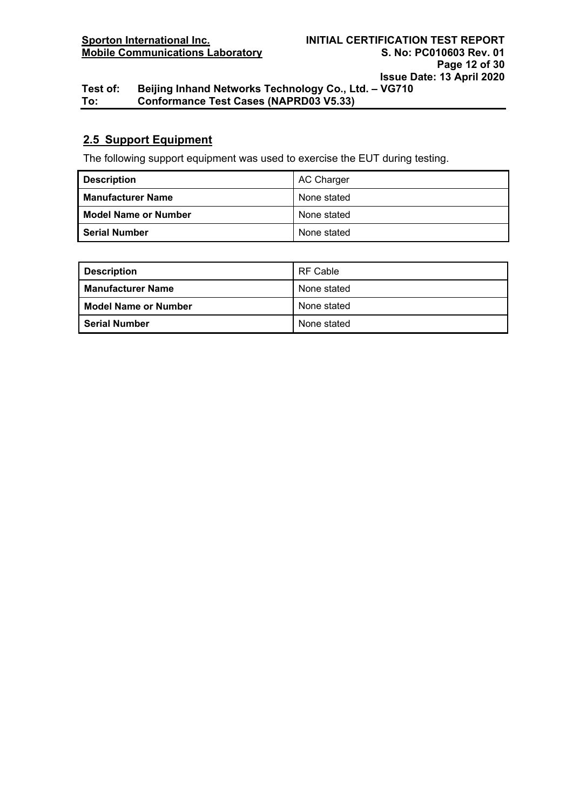## **2.5 Support Equipment**

The following support equipment was used to exercise the EUT during testing.

| <b>Description</b>          | AC Charger  |
|-----------------------------|-------------|
| <b>Manufacturer Name</b>    | None stated |
| <b>Model Name or Number</b> | None stated |
| <b>Serial Number</b>        | None stated |

| <b>Description</b>          | <b>RF Cable</b> |
|-----------------------------|-----------------|
| <b>Manufacturer Name</b>    | None stated     |
| <b>Model Name or Number</b> | None stated     |
| <b>Serial Number</b>        | None stated     |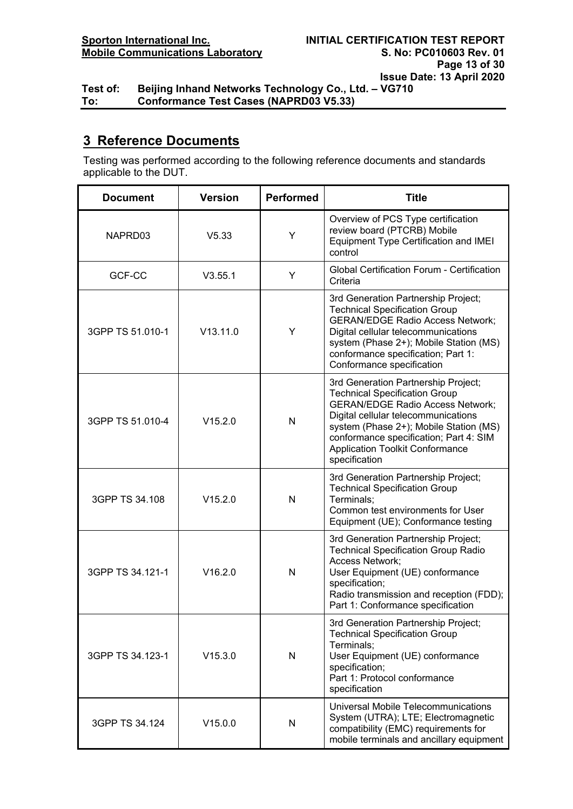## **3 Reference Documents**

Testing was performed according to the following reference documents and standards applicable to the DUT.

| <b>Document</b>  | <b>Version</b> | <b>Performed</b> | <b>Title</b>                                                                                                                                                                                                                                                                                                 |
|------------------|----------------|------------------|--------------------------------------------------------------------------------------------------------------------------------------------------------------------------------------------------------------------------------------------------------------------------------------------------------------|
| NAPRD03          | V5.33          | Y                | Overview of PCS Type certification<br>review board (PTCRB) Mobile<br>Equipment Type Certification and IMEI<br>control                                                                                                                                                                                        |
| GCF-CC           | V3.55.1        | Y                | <b>Global Certification Forum - Certification</b><br>Criteria                                                                                                                                                                                                                                                |
| 3GPP TS 51.010-1 | V13.11.0       | Y                | 3rd Generation Partnership Project;<br><b>Technical Specification Group</b><br><b>GERAN/EDGE Radio Access Network;</b><br>Digital cellular telecommunications<br>system (Phase 2+); Mobile Station (MS)<br>conformance specification; Part 1:<br>Conformance specification                                   |
| 3GPP TS 51.010-4 | V15.2.0        | N                | 3rd Generation Partnership Project;<br><b>Technical Specification Group</b><br><b>GERAN/EDGE Radio Access Network;</b><br>Digital cellular telecommunications<br>system (Phase 2+); Mobile Station (MS)<br>conformance specification; Part 4: SIM<br><b>Application Toolkit Conformance</b><br>specification |
| 3GPP TS 34.108   | V15.2.0        | N                | 3rd Generation Partnership Project;<br><b>Technical Specification Group</b><br>Terminals:<br>Common test environments for User<br>Equipment (UE); Conformance testing                                                                                                                                        |
| 3GPP TS 34.121-1 | V16.2.0        | N                | 3rd Generation Partnership Project;<br><b>Technical Specification Group Radio</b><br>Access Network;<br>User Equipment (UE) conformance<br>specification;<br>Radio transmission and reception (FDD);<br>Part 1: Conformance specification                                                                    |
| 3GPP TS 34.123-1 | V15.3.0        | N                | 3rd Generation Partnership Project;<br><b>Technical Specification Group</b><br>Terminals;<br>User Equipment (UE) conformance<br>specification;<br>Part 1: Protocol conformance<br>specification                                                                                                              |
| 3GPP TS 34.124   | V15.0.0        | $\mathsf{N}$     | Universal Mobile Telecommunications<br>System (UTRA); LTE; Electromagnetic<br>compatibility (EMC) requirements for<br>mobile terminals and ancillary equipment                                                                                                                                               |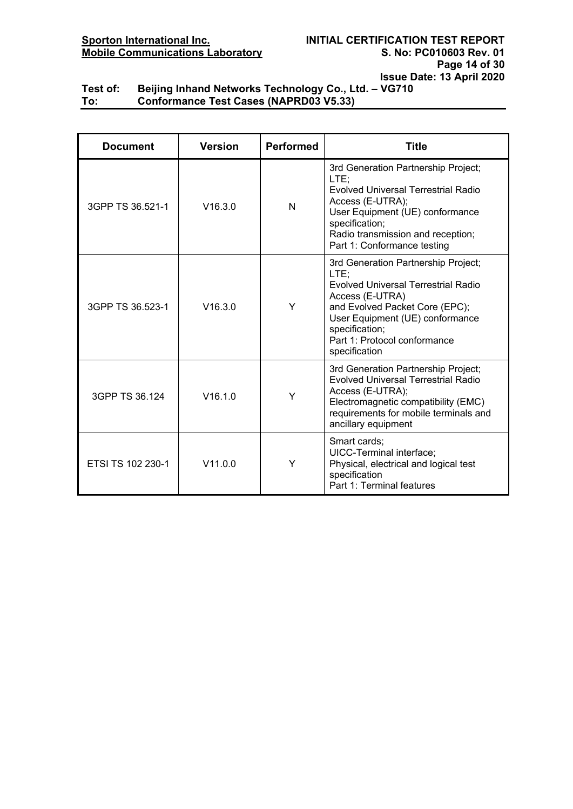| <b>Document</b>   | <b>Version</b> | <b>Performed</b> | Title                                                                                                                                                                                                                                                |
|-------------------|----------------|------------------|------------------------------------------------------------------------------------------------------------------------------------------------------------------------------------------------------------------------------------------------------|
| 3GPP TS 36.521-1  | V16.3.0        | N                | 3rd Generation Partnership Project;<br>LTE:<br>Evolved Universal Terrestrial Radio<br>Access (E-UTRA);<br>User Equipment (UE) conformance<br>specification;<br>Radio transmission and reception;<br>Part 1: Conformance testing                      |
| 3GPP TS 36.523-1  | V16.3.0        | Y                | 3rd Generation Partnership Project;<br>LTE:<br><b>Evolved Universal Terrestrial Radio</b><br>Access (E-UTRA)<br>and Evolved Packet Core (EPC);<br>User Equipment (UE) conformance<br>specification;<br>Part 1: Protocol conformance<br>specification |
| 3GPP TS 36.124    | V16.1.0        | Y                | 3rd Generation Partnership Project;<br>Evolved Universal Terrestrial Radio<br>Access (E-UTRA);<br>Electromagnetic compatibility (EMC)<br>requirements for mobile terminals and<br>ancillary equipment                                                |
| ETSI TS 102 230-1 | V11.0.0        | Υ                | Smart cards;<br>UICC-Terminal interface;<br>Physical, electrical and logical test<br>specification<br>Part 1: Terminal features                                                                                                                      |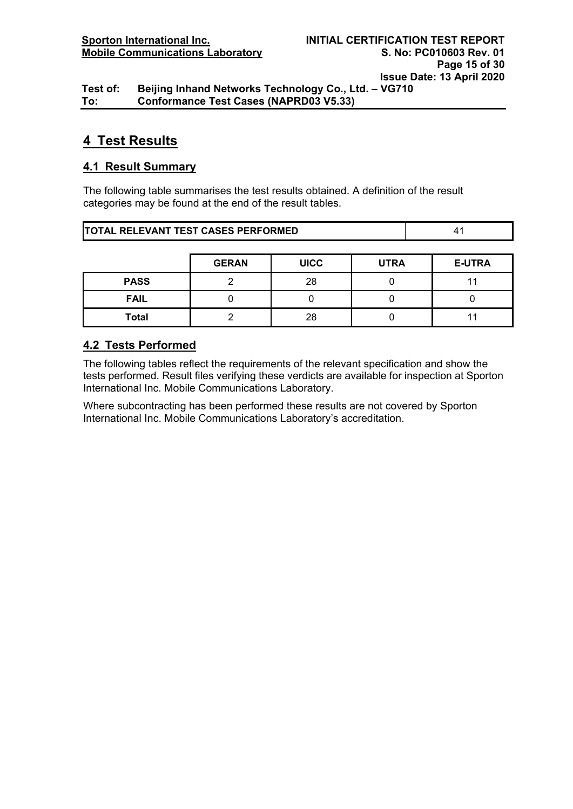## **4 Test Results**

#### **4.1 Result Summary**

The following table summarises the test results obtained. A definition of the result categories may be found at the end of the result tables.

|             | <b>TOTAL RELEVANT TEST CASES PERFORMED</b> |             |             |               |  |  |  |  |  |
|-------------|--------------------------------------------|-------------|-------------|---------------|--|--|--|--|--|
|             |                                            |             |             |               |  |  |  |  |  |
|             | <b>GERAN</b>                               | <b>UICC</b> | <b>UTRA</b> | <b>E-UTRA</b> |  |  |  |  |  |
| <b>PASS</b> |                                            | 28          |             |               |  |  |  |  |  |
| <b>FAIL</b> |                                            |             |             |               |  |  |  |  |  |

**Total** 2 28 0 11

### **4.2 Tests Performed**

The following tables reflect the requirements of the relevant specification and show the tests performed. Result files verifying these verdicts are available for inspection at Sporton International Inc. Mobile Communications Laboratory.

Where subcontracting has been performed these results are not covered by Sporton International Inc. Mobile Communications Laboratory's accreditation.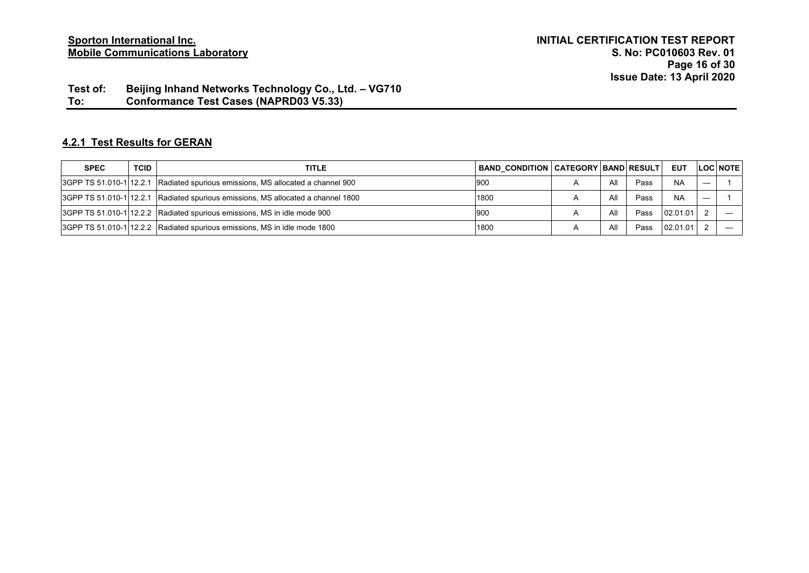#### **4.2.1 Test Results for GERAN**

| <b>SPEC</b>             | <b>TCID</b> | <b>TITLE</b>                                                              | <b>BAND CONDITION CATEGORY BAND RESULT</b> |     |      | <b>EUT</b> | <b>LOC NOTE</b> |
|-------------------------|-------------|---------------------------------------------------------------------------|--------------------------------------------|-----|------|------------|-----------------|
| 3GPP TS 51.010-1 12.2.1 |             | l Radiated spurious emissions, MS allocated a channel 900                 | 1900                                       | Al  | Pass | <b>NA</b>  |                 |
| 3GPP TS 51.010-1 12.2.1 |             | Radiated spurious emissions, MS allocated a channel 1800                  | 1800                                       | Αll | Pass | <b>NA</b>  |                 |
|                         |             | 3GPP TS 51.010-1 12.2.2 Radiated spurious emissions, MS in idle mode 900  | 900                                        | Al  | Pass | 02.01.01   |                 |
|                         |             | 3GPP TS 51.010-1 12.2.2 Radiated spurious emissions, MS in idle mode 1800 | 1800                                       | Al  | Pass | 02.01.01   |                 |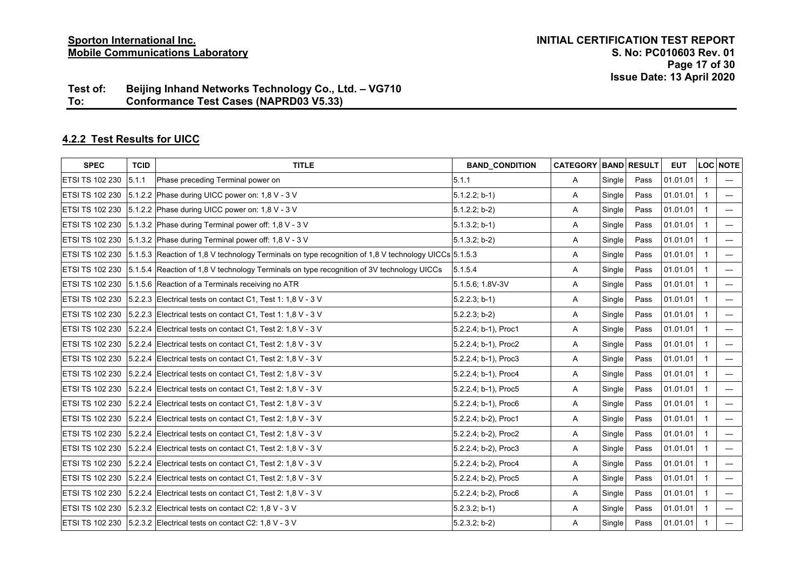#### **4.2.2 Test Results for UICC**

| <b>SPEC</b>            | <b>TCID</b> | <b>TITLE</b>                                                                                                         | <b>BAND_CONDITION</b> | <b>CATEGORY BAND RESULT</b> |        |      | <b>EUT</b> |                | <b>LOC NOTE</b>                  |
|------------------------|-------------|----------------------------------------------------------------------------------------------------------------------|-----------------------|-----------------------------|--------|------|------------|----------------|----------------------------------|
| <b>ETSI TS 102 230</b> | 5.1.1       | Phase preceding Terminal power on                                                                                    | 5.1.1                 | Α                           | Single | Pass | 01.01.01   |                |                                  |
| <b>ETSI TS 102 230</b> |             | 5.1.2.2 Phase during UICC power on: 1,8 V - 3 V                                                                      | $5.1.2.2; b-1)$       | Α                           | Single | Pass | 01.01.01   | $\overline{1}$ |                                  |
| <b>ETSI TS 102 230</b> |             | 5.1.2.2 Phase during UICC power on: 1,8 V - 3 V                                                                      | $5.1.2.2; b-2)$       | Α                           | Single | Pass | 01.01.01   |                |                                  |
| <b>ETSI TS 102 230</b> |             | 5.1.3.2 Phase during Terminal power off: 1,8 V - 3 V                                                                 | $5.1.3.2; b-1)$       | Α                           | Single | Pass | 01.01.01   | $\overline{1}$ |                                  |
| <b>ETSI TS 102 230</b> |             | 5.1.3.2 Phase during Terminal power off: 1,8 V - 3 V                                                                 | $5.1.3.2; b-2)$       | Α                           | Single | Pass | 01.01.01   |                | $\qquad \qquad$                  |
|                        |             | ETSI TS 102 230 5.1.5.3 Reaction of 1,8 V technology Terminals on type recognition of 1,8 V technology UICCs 5.1.5.3 |                       | A                           | Single | Pass | 01.01.01   |                | $\overbrace{\phantom{12322111}}$ |
| <b>ETSI TS 102 230</b> |             | 5.1.5.4 Reaction of 1,8 V technology Terminals on type recognition of 3V technology UICCs                            | 5.1.5.4               | Α                           | Single | Pass | 01.01.01   |                | $\overbrace{\phantom{12322111}}$ |
|                        |             | ETSI TS 102 230 5.1.5.6 Reaction of a Terminals receiving no ATR                                                     | 5.1.5.6; 1.8V-3V      | Α                           | Single | Pass | 01.01.01   |                | $\qquad \qquad$                  |
| <b>ETSI TS 102 230</b> |             | 5.2.2.3 Electrical tests on contact C1, Test 1: 1,8 V - 3 V                                                          | $5.2.2.3; b-1)$       | Α                           | Single | Pass | 01.01.01   | $\mathbf{1}$   | $\overbrace{\phantom{12322111}}$ |
| <b>ETSI TS 102 230</b> |             | 5.2.2.3 Electrical tests on contact C1, Test 1: 1,8 V - 3 V                                                          | $5.2.2.3; b-2)$       | Α                           | Single | Pass | 01.01.01   | $\mathbf{1}$   | $\overbrace{\phantom{12322111}}$ |
| <b>ETSI TS 102 230</b> |             | 5.2.2.4 Electrical tests on contact C1, Test 2: 1,8 V - 3 V                                                          | 5.2.2.4; b-1), Proc1  | Α                           | Single | Pass | 01.01.01   | $\mathbf{1}$   | $\overbrace{\phantom{12322111}}$ |
|                        |             | ETSI TS 102 230 5.2.2.4 Electrical tests on contact C1, Test 2: 1,8 V - 3 V                                          | 5.2.2.4; b-1), Proc2  | Α                           | Single | Pass | 01.01.01   | $\mathbf{1}$   | $\overbrace{\phantom{12322111}}$ |
| <b>ETSI TS 102 230</b> |             | 5.2.2.4 Electrical tests on contact C1, Test 2: 1,8 V - 3 V                                                          | 5.2.2.4; b-1), Proc3  | Α                           | Single | Pass | 01.01.01   | $\mathbf{1}$   |                                  |
|                        |             | ETSI TS 102 230 5.2.2.4 Electrical tests on contact C1, Test 2: 1,8 V - 3 V                                          | 5.2.2.4; b-1), Proc4  | A                           | Single | Pass | 01.01.01   | $\mathbf{1}$   |                                  |
|                        |             | ETSI TS 102 230 5.2.2.4 Electrical tests on contact C1, Test 2: 1,8 V - 3 V                                          | 5.2.2.4; b-1), Proc5  | Α                           | Single | Pass | 01.01.01   | $\mathbf{1}$   |                                  |
|                        |             | ETSI TS 102 230   5.2.2.4   Electrical tests on contact C1, Test 2: 1,8 V - 3 V                                      | 5.2.2.4; b-1), Proc6  | Α                           | Single | Pass | 01.01.01   | $\mathbf{1}$   |                                  |
| <b>ETSI TS 102 230</b> |             | 5.2.2.4 Electrical tests on contact C1, Test 2: 1,8 V - 3 V                                                          | 5.2.2.4; b-2), Proc1  | Α                           | Single | Pass | 01.01.01   | $\mathbf{1}$   |                                  |
|                        |             | ETSI TS 102 230 5.2.2.4 Electrical tests on contact C1, Test 2: 1.8 V - 3 V                                          | 5.2.2.4; b-2), Proc2  | A                           | Single | Pass | 01.01.01   | $\mathbf{1}$   | $\overline{\phantom{m}}$         |
| <b>ETSI TS 102 230</b> |             | 5.2.2.4 Electrical tests on contact C1, Test 2: 1,8 V - 3 V                                                          | 5.2.2.4; b-2), Proc3  | Α                           | Single | Pass | 01.01.01   | $\mathbf{1}$   | $\overline{\phantom{0}}$         |
|                        |             | ETSI TS 102 230 5.2.2.4 Electrical tests on contact C1, Test 2: 1,8 V - 3 V                                          | 5.2.2.4; b-2), Proc4  | Α                           | Single | Pass | 01.01.01   |                | $\overline{\phantom{m}}$         |
|                        |             | ETSI TS 102 230 5.2.2.4 Electrical tests on contact C1, Test 2: 1.8 V - 3 V                                          | 5.2.2.4; b-2), Proc5  | Α                           | Single | Pass | 01.01.01   | $\mathbf{1}$   | $\overline{\phantom{0}}$         |
|                        |             | ETSI TS 102 230 5.2.2.4 Electrical tests on contact C1, Test 2: 1.8 V - 3 V                                          | 5.2.2.4; b-2), Proc6  | Α                           | Single | Pass | 01.01.01   | $\mathbf{1}$   | $\overline{\phantom{m}}$         |
|                        |             | ETSI TS 102 230 5.2.3.2 Electrical tests on contact C2: 1,8 V - 3 V                                                  | $5.2.3.2; b-1)$       | Α                           | Single | Pass | 01.01.01   |                | $\qquad \qquad -$                |
|                        |             | ETSI TS 102 230 5.2.3.2 Electrical tests on contact C2: 1,8 V - 3 V                                                  | $5.2.3.2; b-2)$       | A                           | Single | Pass | 01.01.01   |                | $\qquad \qquad -$                |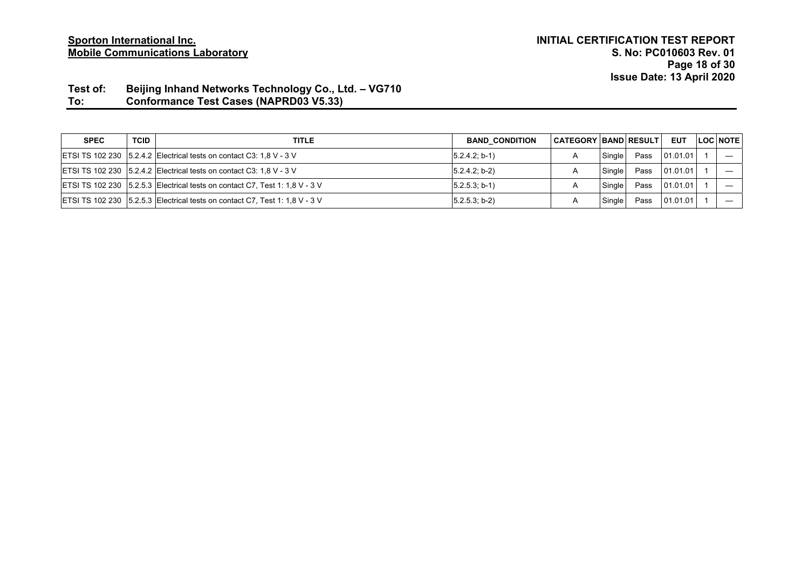| <b>SPEC</b> | <b>TCID</b> | <b>TITLE</b>                                                                       | <b>BAND CONDITION</b>  | CATEGORY   BAND   RESULT |               |      | <b>EUT</b> | <b>LOC NOTE</b> |
|-------------|-------------|------------------------------------------------------------------------------------|------------------------|--------------------------|---------------|------|------------|-----------------|
|             |             | <b>IETSI TS 102 230 IS.2.4.2 Electrical tests on contact C3: 1.8 V - 3 V</b>       | $5.2.4.2$ ; b-1)       |                          | <b>Single</b> | Pass | 01.01.01   |                 |
|             |             | <b>ETSI TS 102 230 5.2.4.2 Electrical tests on contact C3: 1.8 V - 3 V</b>         | $5.2.4.2; b-2)$        |                          | Single        | Pass | 01.01.01   |                 |
|             |             | <b>ETSI TS 102 230 5.2.5.3 Electrical tests on contact C7, Test 1: 1.8 V - 3 V</b> | $ 5.2.5.3; b-1\rangle$ |                          | Single        | Pass | 01.01.01   |                 |
|             |             | <b>ETSI TS 102 230 5.2.5.3 Electrical tests on contact C7, Test 1: 1.8 V - 3 V</b> | $ 5.2.5.3; b-2\rangle$ |                          | Single        | Pass | 01.01.01   |                 |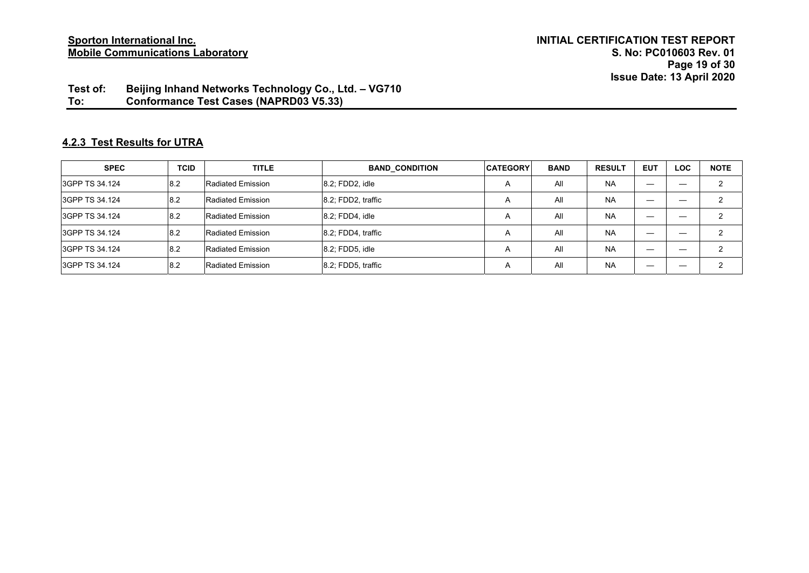#### **4.2.3 Test Results for UTRA**

| <b>SPEC</b>     | <b>TCID</b> | <b>TITLE</b>             | <b>BAND CONDITION</b>  | <b>CATEGORY</b> | <b>BAND</b> | <b>RESULT</b> | EU1                      | <b>LOC</b> | <b>NOTE</b> |
|-----------------|-------------|--------------------------|------------------------|-----------------|-------------|---------------|--------------------------|------------|-------------|
| 3GPP TS 34.124  | 8.2         | Radiated Emission        | $8.2$ ; FDD $2$ , idle | A               | All         | <b>NA</b>     |                          |            |             |
| 3GPP TS 34.124  | 8.2         | Radiated Emission        | 8.2; FDD2, traffic     |                 | All         | <b>NA</b>     |                          |            |             |
| I3GPP TS 34.124 | 8.2         | Radiated Emission        | $8.2$ ; FDD4, idle     | A               | All         | <b>NA</b>     | $\overline{\phantom{a}}$ |            |             |
| 3GPP TS 34.124  | 8.2         | Radiated Emission        | 8.2; FDD4, traffic     |                 | All         | <b>NA</b>     |                          |            |             |
| 3GPP TS 34.124  | 8.2         | <b>Radiated Emission</b> | $8.2$ ; FDD5, idle     | A               | All         | <b>NA</b>     |                          |            |             |
| 3GPP TS 34.124  | 8.2         | Radiated Emission        | 8.2; FDD5, traffic     |                 | All         | <b>NA</b>     |                          |            |             |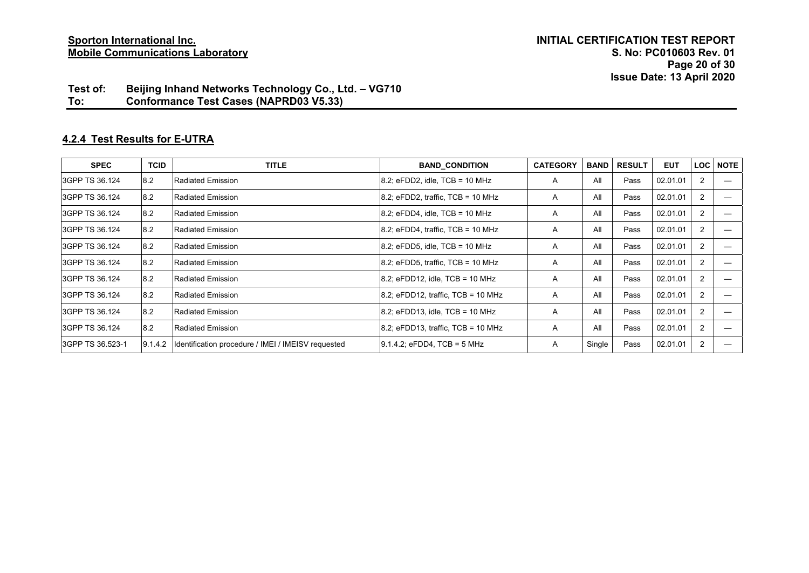#### **4.2.4 Test Results for E-UTRA**

| <b>SPEC</b>       | <b>TCID</b> | <b>TITLE</b>                                       | <b>BAND CONDITION</b>                         | <b>CATEGORY</b> | <b>BAND</b> | <b>RESULT</b> | <b>EUT</b> | LOC I          | <b>NOTE</b> |
|-------------------|-------------|----------------------------------------------------|-----------------------------------------------|-----------------|-------------|---------------|------------|----------------|-------------|
| I3GPP TS 36.124   | 8.2         | <b>Radiated Emission</b>                           | $8.2$ ; eFDD2, idle, TCB = 10 MHz             | A               | All         | Pass          | 02.01.01   | 2              |             |
| I3GPP TS 36.124   | 8.2         | Radiated Emission                                  | $ 8.2; eFDD2; \text{ traffic}, TCB = 10 MHz$  | $\mathsf{A}$    | All         | Pass          | 02.01.01   | 2              |             |
| I3GPP TS 36.124   | 8.2         | Radiated Emission                                  | $8.2$ ; eFDD4, idle, TCB = 10 MHz             | A               | All         | Pass          | 02.01.01   | $\overline{2}$ |             |
| I3GPP TS 36.124   | 8.2         | Radiated Emission                                  | $8.2$ ; eFDD4, traffic, TCB = 10 MHz          | A               | All         | Pass          | 02.01.01   | 2              |             |
| I3GPP TS 36.124   | 8.2         | Radiated Emission                                  | $8.2$ ; eFDD5, idle, TCB = 10 MHz             | $\mathsf{A}$    | All         | Pass          | 02.01.01   | 2              |             |
| I3GPP TS 36.124   | 8.2         | Radiated Emission                                  | $ 8.2; eFDD5, \text{ traffic}, TCB = 10 MHz$  | A               | All         | Pass          | 02.01.01   | 2              |             |
| I3GPP TS 36.124   | 8.2         | Radiated Emission                                  | $\vert$ 8.2; eFDD12, idle, TCB = 10 MHz       | A               | All         | Pass          | 02.01.01   | $\overline{2}$ |             |
| I3GPP TS 36.124   | 8.2         | Radiated Emission                                  | $ 8.2; eFDD12; \text{ traffic}, TCB = 10 MHz$ | A               | All         | Pass          | 02.01.01   | $\overline{2}$ |             |
| 3GPP TS 36.124    | 8.2         | Radiated Emission                                  | $ 8.2; eFDD13, idle, TCB = 10 MHz$            | A               | All         | Pass          | 02.01.01   | $\overline{2}$ |             |
| I3GPP TS 36.124   | 8.2         | Radiated Emission                                  | $ 8.2; eFDD13; \text{ traffic}, TCB = 10 MHz$ | $\mathsf{A}$    | All         | Pass          | 02.01.01   | 2              |             |
| I3GPP TS 36.523-1 | 9.1.4.2     | Identification procedure / IMEI / IMEISV requested | $9.1.4.2$ ; eFDD4, TCB = 5 MHz                | $\mathsf{A}$    | Single      | Pass          | 02.01.01   | 2              |             |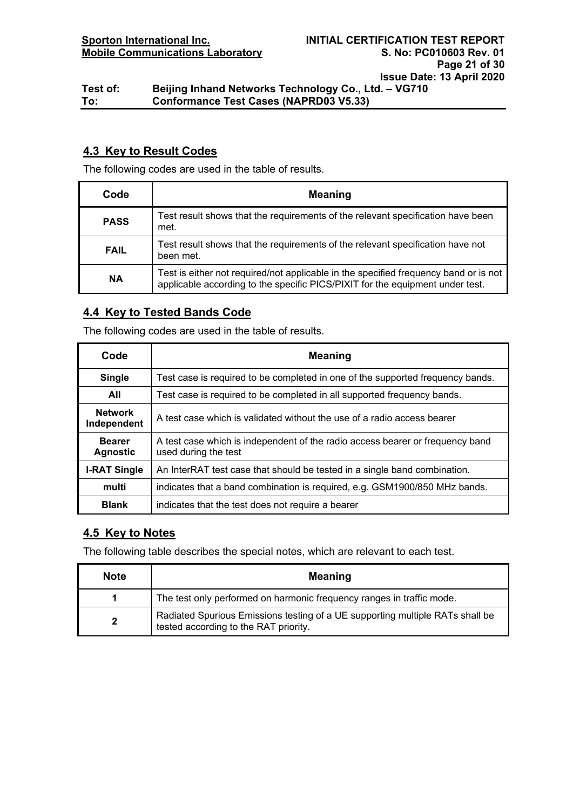#### **4.3 Key to Result Codes**

The following codes are used in the table of results.

| Code        | <b>Meaning</b>                                                                                                                                                        |
|-------------|-----------------------------------------------------------------------------------------------------------------------------------------------------------------------|
| <b>PASS</b> | Test result shows that the requirements of the relevant specification have been<br>met.                                                                               |
| <b>FAIL</b> | Test result shows that the requirements of the relevant specification have not<br>been met.                                                                           |
| <b>NA</b>   | Test is either not required/not applicable in the specified frequency band or is not<br>applicable according to the specific PICS/PIXIT for the equipment under test. |

### **4.4 Key to Tested Bands Code**

The following codes are used in the table of results.

| Code                             | <b>Meaning</b>                                                                                        |  |  |  |
|----------------------------------|-------------------------------------------------------------------------------------------------------|--|--|--|
| <b>Single</b>                    | Test case is required to be completed in one of the supported frequency bands.                        |  |  |  |
| All                              | Test case is required to be completed in all supported frequency bands.                               |  |  |  |
| <b>Network</b><br>Independent    | A test case which is validated without the use of a radio access bearer                               |  |  |  |
| <b>Bearer</b><br><b>Agnostic</b> | A test case which is independent of the radio access bearer or frequency band<br>used during the test |  |  |  |
| <b>I-RAT Single</b>              | An InterRAT test case that should be tested in a single band combination.                             |  |  |  |
| multi                            | indicates that a band combination is required, e.g. GSM1900/850 MHz bands.                            |  |  |  |
| <b>Blank</b>                     | indicates that the test does not require a bearer                                                     |  |  |  |

## **4.5 Key to Notes**

The following table describes the special notes, which are relevant to each test.

| <b>Note</b> | <b>Meaning</b>                                                                                                         |
|-------------|------------------------------------------------------------------------------------------------------------------------|
|             | The test only performed on harmonic frequency ranges in traffic mode.                                                  |
| 2           | Radiated Spurious Emissions testing of a UE supporting multiple RATs shall be<br>tested according to the RAT priority. |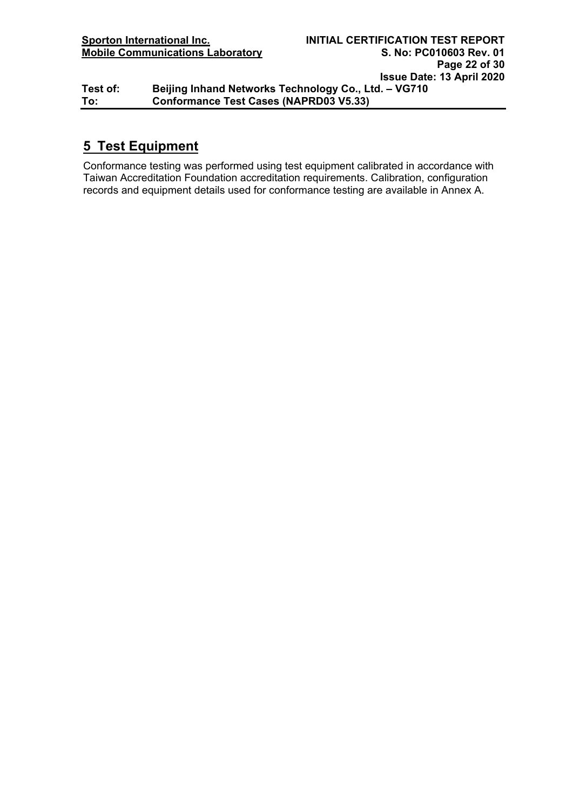## **5 Test Equipment**

Conformance testing was performed using test equipment calibrated in accordance with Taiwan Accreditation Foundation accreditation requirements. Calibration, configuration records and equipment details used for conformance testing are available in Annex A.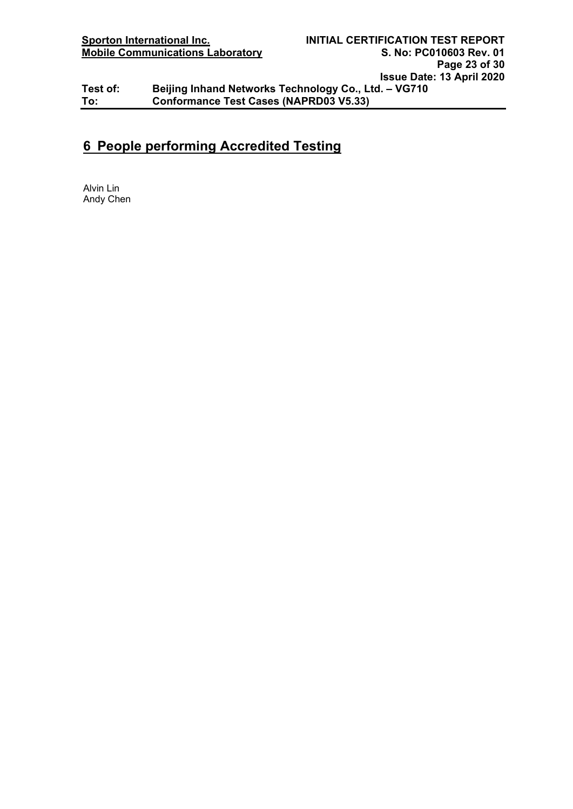# **6 People performing Accredited Testing**

**To: Conformance Test Cases (NAPRD03 V5.33)**

Alvin Lin Andy Chen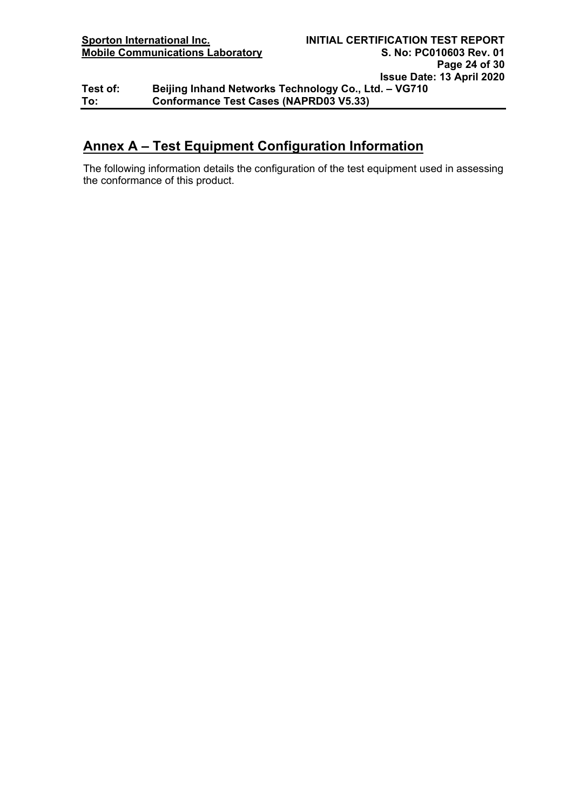## **Annex A – Test Equipment Configuration Information**

The following information details the configuration of the test equipment used in assessing the conformance of this product.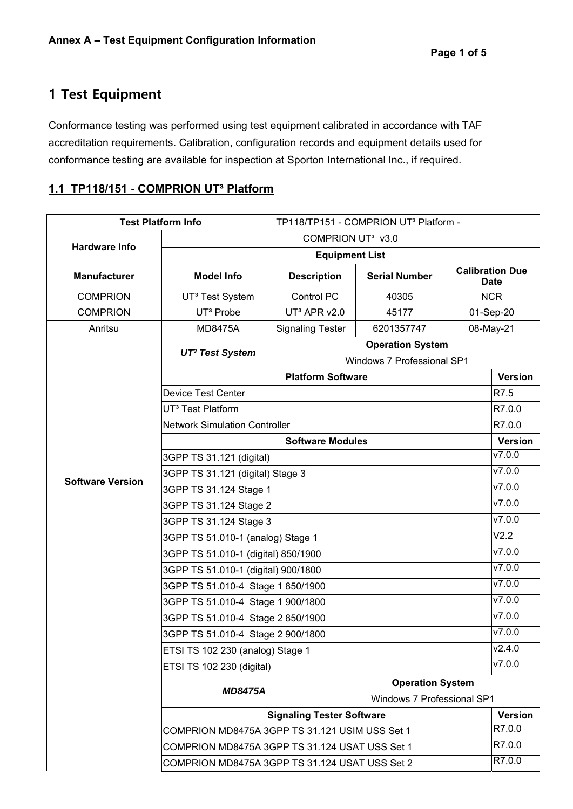# **1 Test Equipment**

Conformance testing was performed using test equipment calibrated in accordance with TAF accreditation requirements. Calibration, configuration records and equipment details used for conformance testing are available for inspection at Sporton International Inc., if required.

### **1.1 TP118/151 - COMPRION UT<sup>3</sup> Platform**

| <b>Test Platform Info</b>                      |                                                                         | TP118/TP151 - COMPRION UT <sup>3</sup> Platform - |  |                                                       |                         |                                       |  |
|------------------------------------------------|-------------------------------------------------------------------------|---------------------------------------------------|--|-------------------------------------------------------|-------------------------|---------------------------------------|--|
| <b>Hardware Info</b>                           |                                                                         | COMPRION UT <sup>3</sup> v3.0                     |  |                                                       |                         |                                       |  |
|                                                | <b>Equipment List</b>                                                   |                                                   |  |                                                       |                         |                                       |  |
| <b>Manufacturer</b>                            | <b>Model Info</b>                                                       | <b>Description</b>                                |  | <b>Serial Number</b>                                  |                         | <b>Calibration Due</b><br><b>Date</b> |  |
| <b>COMPRION</b>                                | <b>Control PC</b><br><b>NCR</b><br>UT <sup>3</sup> Test System<br>40305 |                                                   |  |                                                       |                         |                                       |  |
| <b>COMPRION</b>                                | UT <sup>3</sup> Probe<br>UT <sup>3</sup> APR v2.0<br>45177<br>01-Sep-20 |                                                   |  |                                                       |                         |                                       |  |
| Anritsu                                        | <b>MD8475A</b>                                                          | <b>Signaling Tester</b>                           |  | 6201357747                                            | 08-May-21               |                                       |  |
|                                                | <b>UT<sup>3</sup> Test System</b>                                       |                                                   |  | <b>Operation System</b><br>Windows 7 Professional SP1 |                         |                                       |  |
|                                                |                                                                         | <b>Platform Software</b>                          |  |                                                       |                         | <b>Version</b>                        |  |
|                                                | <b>Device Test Center</b>                                               |                                                   |  |                                                       |                         | R7.5                                  |  |
|                                                | UT <sup>3</sup> Test Platform                                           |                                                   |  |                                                       |                         | R7.0.0                                |  |
|                                                | <b>Network Simulation Controller</b>                                    |                                                   |  |                                                       |                         | R7.0.0                                |  |
|                                                |                                                                         | <b>Software Modules</b>                           |  |                                                       |                         | <b>Version</b>                        |  |
|                                                | 3GPP TS 31.121 (digital)                                                |                                                   |  |                                                       |                         | V7.0.0                                |  |
|                                                | 3GPP TS 31.121 (digital) Stage 3                                        |                                                   |  |                                                       |                         | V7.0.0                                |  |
| <b>Software Version</b>                        | 3GPP TS 31.124 Stage 1                                                  |                                                   |  |                                                       |                         |                                       |  |
|                                                | 3GPP TS 31.124 Stage 2                                                  |                                                   |  |                                                       |                         |                                       |  |
|                                                | 3GPP TS 31.124 Stage 3                                                  |                                                   |  |                                                       |                         | V7.0.0                                |  |
|                                                | 3GPP TS 51.010-1 (analog) Stage 1                                       |                                                   |  |                                                       |                         | V2.2                                  |  |
|                                                | 3GPP TS 51.010-1 (digital) 850/1900                                     |                                                   |  |                                                       |                         | V7.0.0                                |  |
|                                                | 3GPP TS 51.010-1 (digital) 900/1800                                     |                                                   |  |                                                       |                         | V7.0.0                                |  |
|                                                | 3GPP TS 51.010-4 Stage 1 850/1900                                       |                                                   |  |                                                       |                         | V7.0.0<br>V7.0.0                      |  |
|                                                | 3GPP TS 51.010-4 Stage 1 900/1800                                       |                                                   |  |                                                       |                         |                                       |  |
|                                                | 3GPP TS 51.010-4 Stage 2 850/1900                                       |                                                   |  |                                                       |                         | V7.0.0<br>V7.0.0                      |  |
|                                                | 3GPP TS 51.010-4 Stage 2 900/1800                                       |                                                   |  |                                                       |                         |                                       |  |
|                                                | ETSI TS 102 230 (analog) Stage 1                                        |                                                   |  |                                                       |                         |                                       |  |
|                                                |                                                                         |                                                   |  | V7.0.0                                                |                         |                                       |  |
|                                                | <b>MD8475A</b>                                                          |                                                   |  |                                                       | <b>Operation System</b> |                                       |  |
|                                                |                                                                         | Windows 7 Professional SP1                        |  |                                                       |                         |                                       |  |
| <b>Signaling Tester Software</b>               |                                                                         |                                                   |  |                                                       |                         | <b>Version</b><br>R7.0.0              |  |
|                                                | COMPRION MD8475A 3GPP TS 31.121 USIM USS Set 1                          |                                                   |  |                                                       | R7.0.0                  |                                       |  |
| COMPRION MD8475A 3GPP TS 31.124 USAT USS Set 1 |                                                                         |                                                   |  |                                                       | R7.0.0                  |                                       |  |
| COMPRION MD8475A 3GPP TS 31.124 USAT USS Set 2 |                                                                         |                                                   |  |                                                       |                         |                                       |  |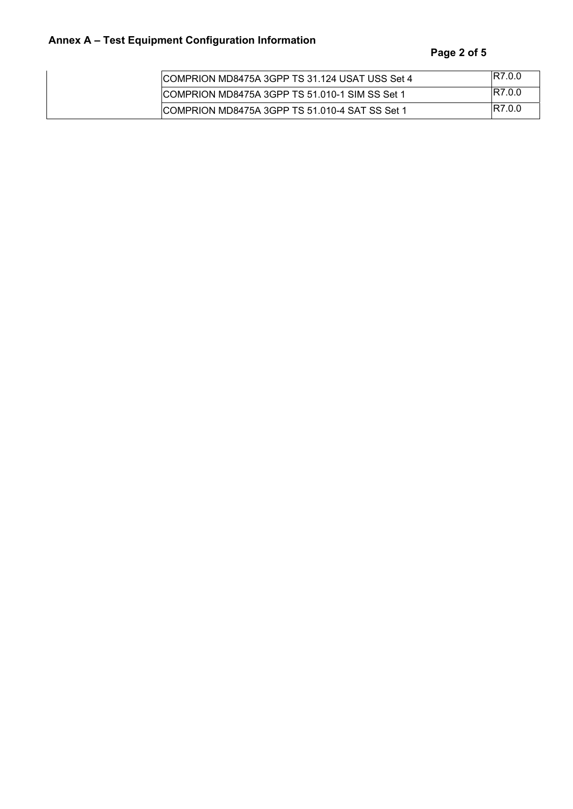## **Page 2 of 5**

| COMPRION MD8475A 3GPP TS 31.124 USAT USS Set 4 | IR7.0.0 |
|------------------------------------------------|---------|
| COMPRION MD8475A 3GPP TS 51.010-1 SIM SS Set 1 | IR7.0.0 |
| COMPRION MD8475A 3GPP TS 51.010-4 SAT SS Set 1 | IR7.0.0 |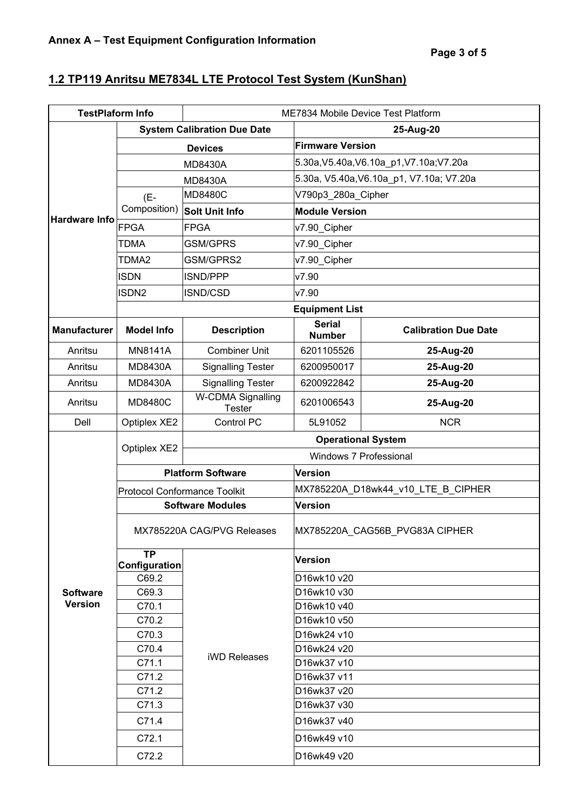## **1.2 TP119 Anritsu ME7834L LTE Protocol Test System (KunShan)**

| <b>TestPlaform Info</b> |                                     | ME7834 Mobile Device Test Platform        |                                          |                                    |  |  |  |
|-------------------------|-------------------------------------|-------------------------------------------|------------------------------------------|------------------------------------|--|--|--|
|                         |                                     | <b>System Calibration Due Date</b>        | 25-Aug-20                                |                                    |  |  |  |
|                         |                                     | <b>Devices</b>                            | <b>Firmware Version</b>                  |                                    |  |  |  |
|                         |                                     | MD8430A                                   | 5.30a, V5.40a, V6.10a_p1, V7.10a; V7.20a |                                    |  |  |  |
|                         |                                     | MD8430A                                   | 5.30a, V5.40a, V6.10a_p1, V7.10a; V7.20a |                                    |  |  |  |
|                         | $(E -$                              | <b>MD8480C</b>                            | V790p3_280a_Cipher                       |                                    |  |  |  |
|                         | Composition)                        | <b>Solt Unit Info</b>                     | <b>Module Version</b>                    |                                    |  |  |  |
| <b>Hardware Info</b>    | <b>FPGA</b>                         | <b>FPGA</b>                               | v7.90_Cipher                             |                                    |  |  |  |
|                         | <b>TDMA</b>                         | <b>GSM/GPRS</b>                           | v7.90_Cipher                             |                                    |  |  |  |
|                         | TDMA2                               | GSM/GPRS2                                 | v7.90_Cipher                             |                                    |  |  |  |
|                         | <b>ISDN</b>                         | <b>ISND/PPP</b>                           | v7.90                                    |                                    |  |  |  |
|                         | <b>ISDN2</b>                        | ISND/CSD                                  | v7.90                                    |                                    |  |  |  |
|                         |                                     |                                           | <b>Equipment List</b>                    |                                    |  |  |  |
| <b>Manufacturer</b>     | <b>Model Info</b>                   | <b>Description</b>                        | <b>Serial</b><br><b>Number</b>           | <b>Calibration Due Date</b>        |  |  |  |
| Anritsu                 | <b>MN8141A</b>                      | <b>Combiner Unit</b>                      | 6201105526                               | 25-Aug-20                          |  |  |  |
| Anritsu                 | MD8430A                             | <b>Signalling Tester</b>                  | 6200950017                               | 25-Aug-20                          |  |  |  |
| Anritsu                 | MD8430A                             | <b>Signalling Tester</b>                  | 6200922842                               | 25-Aug-20                          |  |  |  |
| Anritsu                 | <b>MD8480C</b>                      | <b>W-CDMA Signalling</b><br><b>Tester</b> | 6201006543                               | 25-Aug-20                          |  |  |  |
| Dell                    | Optiplex XE2                        | <b>Control PC</b>                         | 5L91052                                  | <b>NCR</b>                         |  |  |  |
|                         |                                     | <b>Operational System</b>                 |                                          |                                    |  |  |  |
|                         | Optiplex XE2                        |                                           | Windows 7 Professional                   |                                    |  |  |  |
|                         |                                     | <b>Platform Software</b>                  | <b>Version</b>                           |                                    |  |  |  |
|                         | <b>Protocol Conformance Toolkit</b> |                                           |                                          | MX785220A_D18wk44_v10_LTE_B_CIPHER |  |  |  |
|                         |                                     | <b>Software Modules</b>                   | <b>Version</b>                           |                                    |  |  |  |
|                         |                                     | MX785220A CAG/PVG Releases                | MX785220A_CAG56B_PVG83A CIPHER           |                                    |  |  |  |
|                         | <b>TP</b><br>Configuration          |                                           | <b>Version</b>                           |                                    |  |  |  |
|                         | C69.2                               |                                           | D16wk10 v20                              |                                    |  |  |  |
| <b>Software</b>         | C69.3                               |                                           | D16wk10 v30                              |                                    |  |  |  |
| <b>Version</b>          | C70.1                               |                                           | D16wk10 v40                              |                                    |  |  |  |
|                         | C70.2                               |                                           | D16wk10 v50                              |                                    |  |  |  |
|                         | C70.3<br>C70.4                      |                                           | D16wk24 v10                              |                                    |  |  |  |
|                         | C71.1                               | <b>iWD Releases</b>                       | D16wk24 v20<br>D16wk37 v10               |                                    |  |  |  |
|                         | C71.2                               |                                           | D16wk37 v11                              |                                    |  |  |  |
|                         | C71.2                               |                                           | D16wk37 v20                              |                                    |  |  |  |
|                         | C71.3                               |                                           | D16wk37 v30                              |                                    |  |  |  |
|                         | C71.4                               |                                           | D16wk37 v40                              |                                    |  |  |  |
|                         | C72.1                               |                                           | D16wk49 v10                              |                                    |  |  |  |
|                         | C72.2                               |                                           | D16wk49 v20                              |                                    |  |  |  |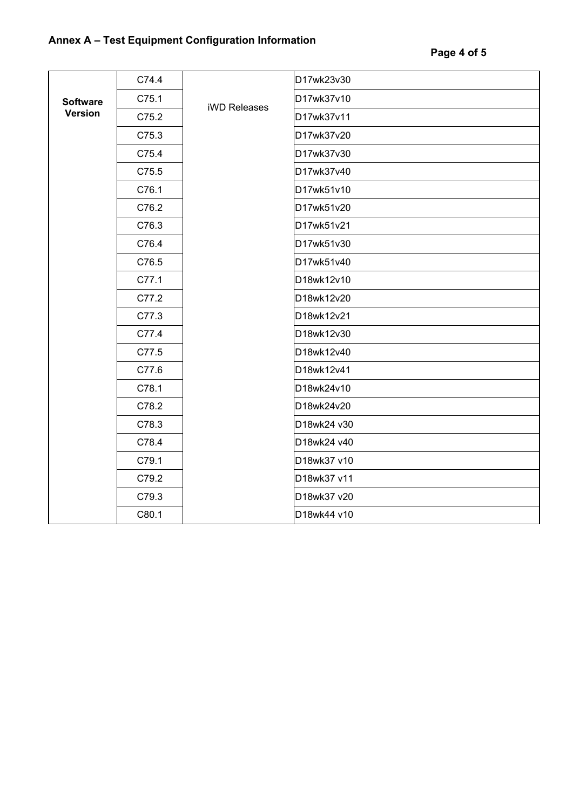# **Annex A – Test Equipment Configuration Information**

| <b>Software</b> | C74.4 | <b>iWD Releases</b> | D17wk23v30  |
|-----------------|-------|---------------------|-------------|
|                 | C75.1 |                     | D17wk37v10  |
| <b>Version</b>  | C75.2 |                     | D17wk37v11  |
|                 | C75.3 |                     | D17wk37v20  |
|                 | C75.4 |                     | D17wk37v30  |
|                 | C75.5 |                     | D17wk37v40  |
|                 | C76.1 |                     | D17wk51v10  |
|                 | C76.2 |                     | D17wk51v20  |
|                 | C76.3 |                     | D17wk51v21  |
|                 | C76.4 |                     | D17wk51v30  |
|                 | C76.5 |                     | D17wk51v40  |
|                 | C77.1 |                     | D18wk12v10  |
|                 | C77.2 |                     | D18wk12v20  |
|                 | C77.3 |                     | D18wk12v21  |
|                 | C77.4 |                     | D18wk12v30  |
|                 | C77.5 |                     | D18wk12v40  |
|                 | C77.6 |                     | D18wk12v41  |
|                 | C78.1 |                     | D18wk24v10  |
|                 | C78.2 |                     | D18wk24v20  |
|                 | C78.3 |                     | D18wk24 v30 |
|                 | C78.4 |                     | D18wk24 v40 |
|                 | C79.1 |                     | D18wk37 v10 |
| C79.2           |       | D18wk37 v11         |             |
|                 | C79.3 |                     | D18wk37 v20 |
|                 | C80.1 |                     | D18wk44 v10 |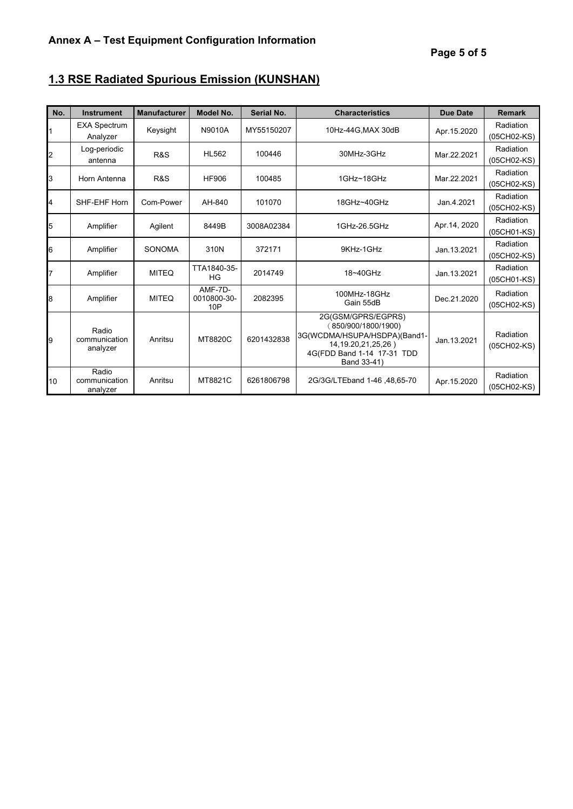# **1.3 RSE Radiated Spurious Emission (KUNSHAN)**

| No.            | <b>Instrument</b>                  | <b>Manufacturer</b> | Model No.                                 | Serial No. | <b>Characteristics</b>                                                                                                                           | <b>Due Date</b> | <b>Remark</b>              |
|----------------|------------------------------------|---------------------|-------------------------------------------|------------|--------------------------------------------------------------------------------------------------------------------------------------------------|-----------------|----------------------------|
| Ι1             | <b>EXA Spectrum</b><br>Analyzer    | Keysight            | N9010A                                    | MY55150207 | 10Hz-44G, MAX 30dB                                                                                                                               | Apr. 15.2020    | Radiation<br>(05CH02-KS)   |
| $\overline{c}$ | Log-periodic<br>antenna            | <b>R&amp;S</b>      | <b>HL562</b>                              | 100446     | 30MHz-3GHz                                                                                                                                       | Mar.22.2021     | Radiation<br>(05CH02-KS)   |
| l3             | Horn Antenna                       | <b>R&amp;S</b>      | <b>HF906</b>                              | 100485     | 1GHz~18GHz                                                                                                                                       | Mar.22.2021     | Radiation<br>(05CH02-KS)   |
| 4              | SHF-EHF Horn                       | Com-Power           | AH-840                                    | 101070     | 18GHz~40GHz                                                                                                                                      | Jan.4.2021      | Radiation<br>(05CH02-KS)   |
| 5              | Amplifier                          | Agilent             | 8449B                                     | 3008A02384 | 1GHz-26.5GHz                                                                                                                                     | Apr. 14, 2020   | Radiation<br>(05CH01-KS)   |
| 6              | Amplifier                          | <b>SONOMA</b>       | 310N                                      | 372171     | 9KHz-1GHz                                                                                                                                        | Jan. 13.2021    | Radiation<br>(05CH02-KS)   |
| 17             | Amplifier                          | <b>MITEQ</b>        | TTA1840-35-<br>ΗG                         | 2014749    | 18~40GHz                                                                                                                                         | Jan. 13.2021    | Radiation<br>$(05CH01-KS)$ |
| 8              | Amplifier                          | <b>MITEQ</b>        | AMF-7D-<br>0010800-30-<br>10 <sub>P</sub> | 2082395    | 100MHz-18GHz<br>Gain 55dB                                                                                                                        | Dec.21.2020     | Radiation<br>(05CH02-KS)   |
| Ι9             | Radio<br>communication<br>analyzer | Anritsu             | MT8820C                                   | 6201432838 | 2G(GSM/GPRS/EGPRS)<br>(850/900/1800/1900)<br>3G(WCDMA/HSUPA/HSDPA)(Band1-<br>14, 19.20, 21, 25, 26)<br>4G(FDD Band 1-14 17-31 TDD<br>Band 33-41) | Jan. 13.2021    | Radiation<br>(05CH02-KS)   |
| 10             | Radio<br>communication<br>analyzer | Anritsu             | MT8821C                                   | 6261806798 | 2G/3G/LTEband 1-46, 48, 65-70                                                                                                                    | Apr. 15.2020    | Radiation<br>(05CH02-KS)   |